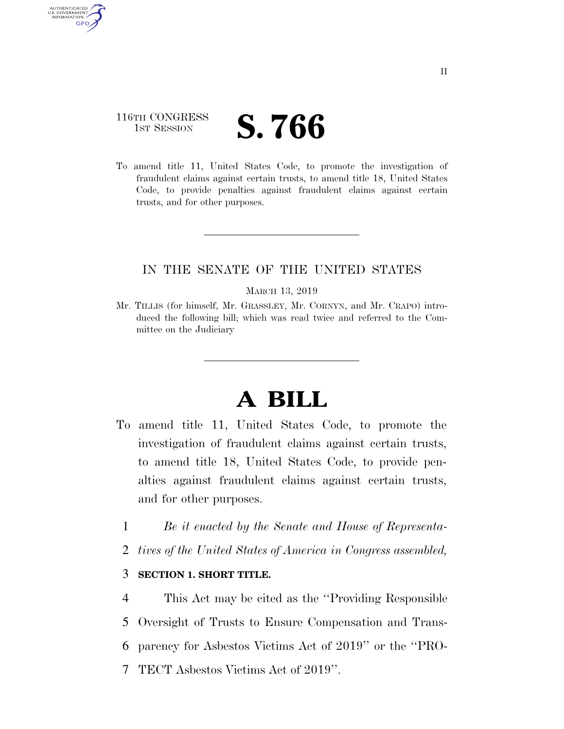## 116TH CONGRESS **IST SESSION S. 766**

AUTHENTICATED U.S. GOVERNMENT **GPO** 

> To amend title 11, United States Code, to promote the investigation of fraudulent claims against certain trusts, to amend title 18, United States Code, to provide penalties against fraudulent claims against certain trusts, and for other purposes.

### IN THE SENATE OF THE UNITED STATES

#### MARCH 13, 2019

Mr. TILLIS (for himself, Mr. GRASSLEY, Mr. CORNYN, and Mr. CRAPO) introduced the following bill; which was read twice and referred to the Committee on the Judiciary

# **A BILL**

- To amend title 11, United States Code, to promote the investigation of fraudulent claims against certain trusts, to amend title 18, United States Code, to provide penalties against fraudulent claims against certain trusts, and for other purposes.
	- 1 *Be it enacted by the Senate and House of Representa-*
	- 2 *tives of the United States of America in Congress assembled,*

### 3 **SECTION 1. SHORT TITLE.**

- 4 This Act may be cited as the ''Providing Responsible
- 5 Oversight of Trusts to Ensure Compensation and Trans-
- 6 parency for Asbestos Victims Act of 2019'' or the ''PRO-
- 7 TECT Asbestos Victims Act of 2019''.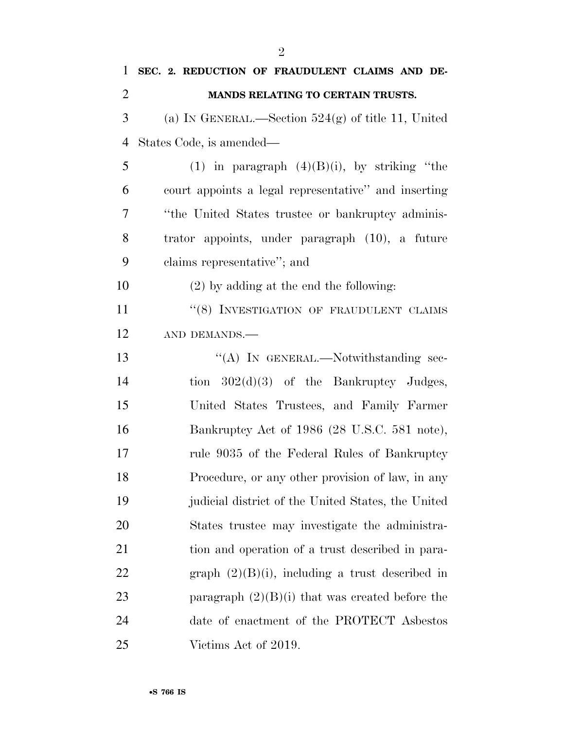| 1              | SEC. 2. REDUCTION OF FRAUDULENT CLAIMS AND DE-       |
|----------------|------------------------------------------------------|
| $\overline{2}$ | <b>MANDS RELATING TO CERTAIN TRUSTS.</b>             |
| 3              | (a) IN GENERAL.—Section $524(g)$ of title 11, United |
| $\overline{4}$ | States Code, is amended—                             |
| 5              | (1) in paragraph $(4)(B)(i)$ , by striking "the      |
| 6              | court appoints a legal representative" and inserting |
| 7              | "the United States trustee or bankruptcy adminis-    |
| 8              | trator appoints, under paragraph (10), a future      |
| 9              | claims representative"; and                          |
| 10             | $(2)$ by adding at the end the following:            |
| 11             | "(8) INVESTIGATION OF FRAUDULENT CLAIMS              |
| 12             | AND DEMANDS.-                                        |
| 13             | "(A) IN GENERAL.—Notwithstanding sec-                |
| 14             | tion $302(d)(3)$ of the Bankruptcy Judges,           |
| 15             | United States Trustees, and Family Farmer            |
| 16             | Bankruptcy Act of 1986 (28 U.S.C. 581 note),         |
| 17             | rule 9035 of the Federal Rules of Bankruptcy         |
| 18             | Procedure, or any other provision of law, in any     |
| 19             | judicial district of the United States, the United   |
| 20             | States trustee may investigate the administra-       |
| 21             | tion and operation of a trust described in para-     |
| 22             | graph $(2)(B)(i)$ , including a trust described in   |
| 23             | paragraph $(2)(B)(i)$ that was created before the    |
| 24             | date of enactment of the PROTECT Asbestos            |
| 25             | Victims Act of 2019.                                 |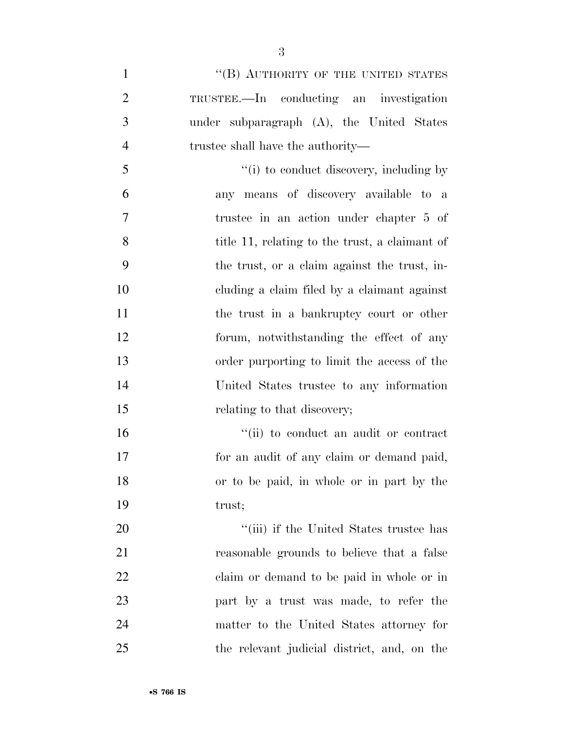<sup>"</sup>(B) AUTHORITY OF THE UNITED STATES TRUSTEE.—In conducting an investigation under subparagraph (A), the United States trustee shall have the authority—  $\frac{1}{10}$  to conduct discovery, including by any means of discovery available to a trustee in an action under chapter 5 of title 11, relating to the trust, a claimant of the trust, or a claim against the trust, in- cluding a claim filed by a claimant against 11 the trust in a bankruptcy court or other forum, notwithstanding the effect of any order purporting to limit the access of the United States trustee to any information 15 relating to that discovery;  $\frac{1}{10}$  to conduct an audit or contract for an audit of any claim or demand paid, or to be paid, in whole or in part by the trust;  $\frac{1}{2}$  (iii) if the United States trustee has reasonable grounds to believe that a false claim or demand to be paid in whole or in part by a trust was made, to refer the matter to the United States attorney for the relevant judicial district, and, on the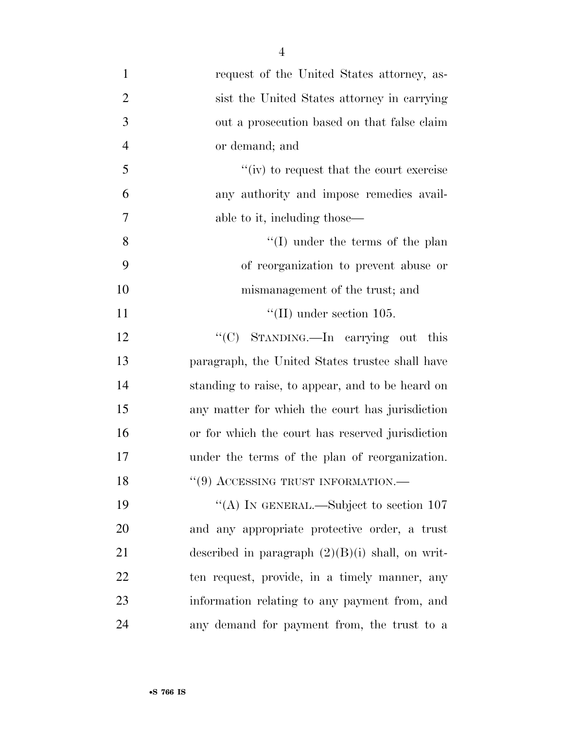- request of the United States attorney, as- sist the United States attorney in carrying out a prosecution based on that false claim or demand; and ''(iv) to request that the court exercise any authority and impose remedies avail- able to it, including those— 8 ''(I) under the terms of the plan of reorganization to prevent abuse or mismanagement of the trust; and 11  $\text{``(II)}$  under section 105. 12 "'(C) STANDING.—In carrying out this paragraph, the United States trustee shall have standing to raise, to appear, and to be heard on any matter for which the court has jurisdiction or for which the court has reserved jurisdiction under the terms of the plan of reorganization. 18 "(9) ACCESSING TRUST INFORMATION.— 19 "(A) IN GENERAL.—Subject to section 107 and any appropriate protective order, a trust
- described in paragraph (2)(B)(i) shall, on writ- ten request, provide, in a timely manner, any information relating to any payment from, and any demand for payment from, the trust to a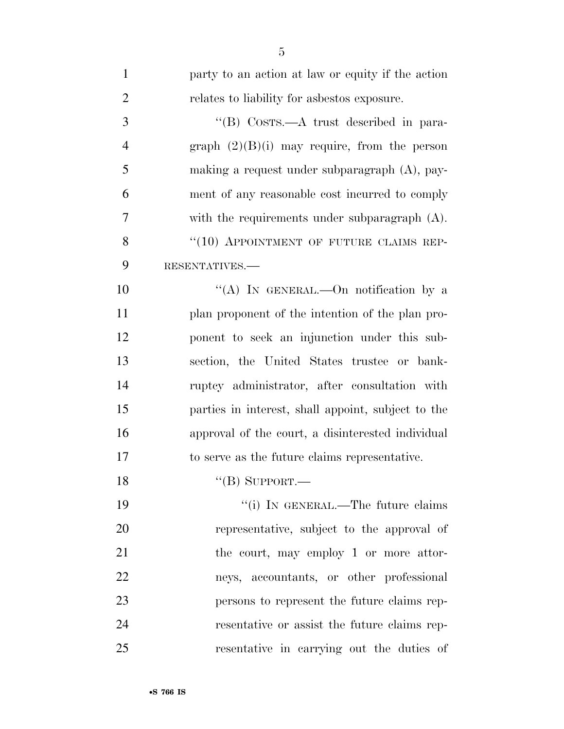| $\mathbf{1}$   | party to an action at law or equity if the action  |
|----------------|----------------------------------------------------|
| $\overline{2}$ | relates to liability for asbestos exposure.        |
| 3              | "(B) Costs.—A trust described in para-             |
| $\overline{4}$ | graph $(2)(B)(i)$ may require, from the person     |
| 5              | making a request under subparagraph $(A)$ , pay-   |
| 6              | ment of any reasonable cost incurred to comply     |
| 7              | with the requirements under subparagraph $(A)$ .   |
| 8              | "(10) APPOINTMENT OF FUTURE CLAIMS REP-            |
| 9              | RESENTATIVES.-                                     |
| 10             | "(A) IN GENERAL.—On notification by a              |
| 11             | plan proponent of the intention of the plan pro-   |
| 12             | ponent to seek an injunction under this sub-       |
| 13             | section, the United States trustee or bank-        |
| 14             | ruptcy administrator, after consultation with      |
| 15             | parties in interest, shall appoint, subject to the |
| 16             | approval of the court, a disinterested individual  |
| 17             | to serve as the future claims representative.      |
| 18             | "(B) SUPPORT.—                                     |
| 19             | "(i) IN GENERAL.—The future claims                 |
| 20             | representative, subject to the approval of         |
| 21             | the court, may employ 1 or more attor-             |
| 22             | neys, accountants, or other professional           |
| 23             | persons to represent the future claims rep-        |
| 24             | resentative or assist the future claims rep-       |
| 25             | resentative in carrying out the duties of          |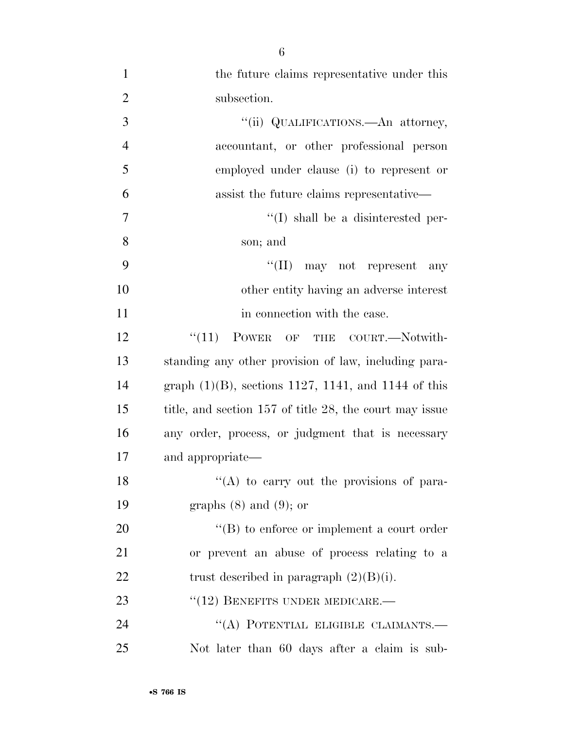1 the future claims representative under this 2 subsection. 3  $\frac{1}{\text{ii}}$  QUALIFICATIONS.—An attorney, 4 accountant, or other professional person 5 employed under clause (i) to represent or 6 assist the future claims representative— 7  $''(I)$  shall be a disinterested per-8 son; and 9 ''(II) may not represent any 10 other entity having an adverse interest 11 in connection with the case. 12 "(11) POWER OF THE COURT.—Notwith-13 standing any other provision of law, including para-14 graph (1)(B), sections 1127, 1141, and 1144 of this 15 title, and section 157 of title 28, the court may issue 16 any order, process, or judgment that is necessary 17 and appropriate—  $'$ (A) to carry out the provisions of para-19 graphs (8) and (9); or 20  $\langle G \rangle$  to enforce or implement a court order 21 or prevent an abuse of process relating to a 22 trust described in paragraph  $(2)(B)(i)$ . 23 "(12) BENEFITS UNDER MEDICARE.— 24 "(A) POTENTIAL ELIGIBLE CLAIMANTS.— 25 Not later than 60 days after a claim is sub-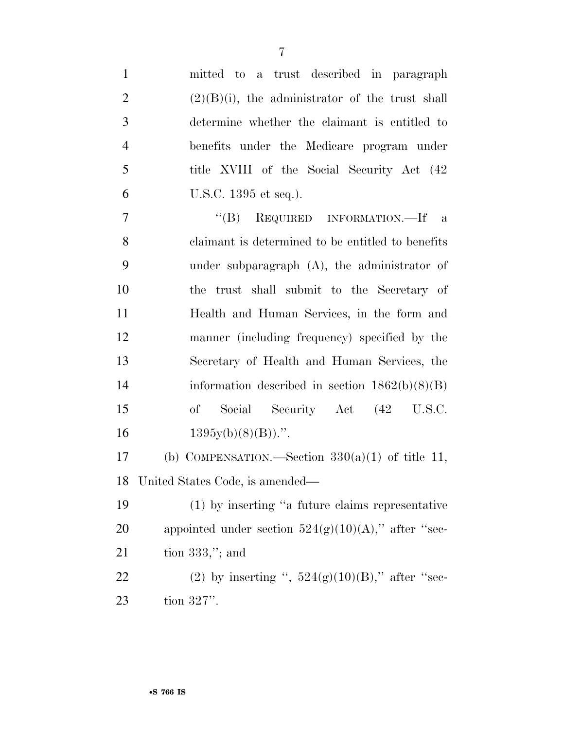| $\mathbf{1}$   | mitted to a trust described in paragraph                 |
|----------------|----------------------------------------------------------|
| $\overline{2}$ | $(2)(B)(i)$ , the administrator of the trust shall       |
| 3              | determine whether the claimant is entitled to            |
| $\overline{4}$ | benefits under the Medicare program under                |
| 5              | title XVIII of the Social Security Act (42)              |
| 6              | U.S.C. 1395 et seq.).                                    |
| 7              | $\lq\lq (B)$<br>REQUIRED INFORMATION.—If<br>$\mathbf{a}$ |
| 8              | claimant is determined to be entitled to benefits        |
| 9              | under subparagraph $(A)$ , the administrator of          |
| 10             | the trust shall submit to the Secretary of               |
| 11             | Health and Human Services, in the form and               |
| 12             | manner (including frequency) specified by the            |
| 13             | Secretary of Health and Human Services, the              |
| 14             | information described in section $1862(b)(8)(B)$         |
| 15             | <sub>of</sub><br>Social Security Act (42 U.S.C.          |
| 16             | $1395y(b)(8)(B))$ .".                                    |
| 17             | (b) COMPENSATION.—Section $330(a)(1)$ of title 11,       |
| 18             | United States Code, is amended—                          |
| 19             | $(1)$ by inserting "a future claims representative       |
| <b>20</b>      | appointed under section $524(g)(10)(A)$ ," after "sec-   |
| 21             | tion $333$ ,"; and                                       |
| 22             | (2) by inserting ", $524(g)(10)(B)$ ," after "sec-       |
| 23             | tion $327$ ".                                            |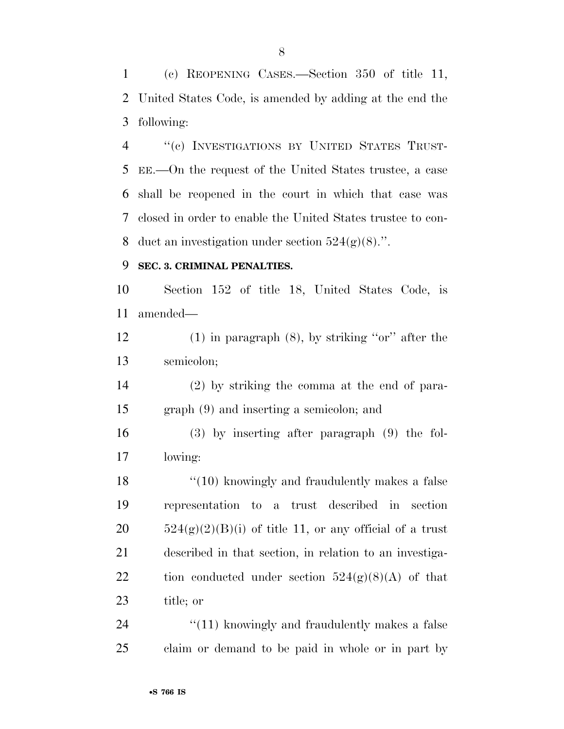(c) REOPENING CASES.—Section 350 of title 11, United States Code, is amended by adding at the end the following:

 ''(c) INVESTIGATIONS BY UNITED STATES TRUST- EE.—On the request of the United States trustee, a case shall be reopened in the court in which that case was closed in order to enable the United States trustee to con-8 duct an investigation under section  $524(g)(8)$ .".

### **SEC. 3. CRIMINAL PENALTIES.**

 Section 152 of title 18, United States Code, is amended—

 (1) in paragraph (8), by striking ''or'' after the semicolon;

 (2) by striking the comma at the end of para-graph (9) and inserting a semicolon; and

 (3) by inserting after paragraph (9) the fol-lowing:

18 ''(10) knowingly and fraudulently makes a false representation to a trust described in section  $524(g)(2)(B)(i)$  of title 11, or any official of a trust described in that section, in relation to an investiga-22 tion conducted under section  $524(g)(8)(A)$  of that title; or

24 "(11) knowingly and fraudulently makes a false claim or demand to be paid in whole or in part by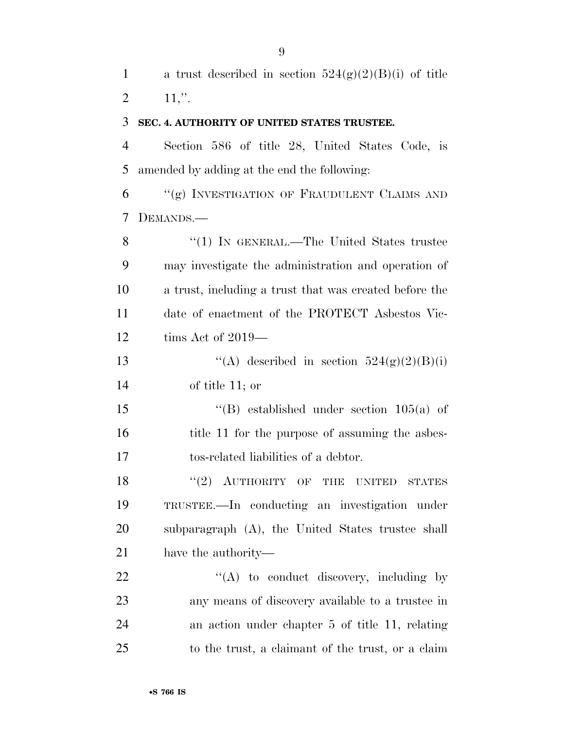1 a trust described in section  $524(g)(2)(B)(i)$  of title 2 ,".

### **SEC. 4. AUTHORITY OF UNITED STATES TRUSTEE.**

 Section 586 of title 28, United States Code, is amended by adding at the end the following:

 "(g) INVESTIGATION OF FRAUDULENT CLAIMS AND DEMANDS.—

8 "(1) In GENERAL.—The United States trustee may investigate the administration and operation of a trust, including a trust that was created before the date of enactment of the PROTECT Asbestos Vic-tims Act of 2019—

13  $\text{``(A)}$  described in section  $524(g)(2)(B)(i)$ of title 11; or

 ''(B) established under section 105(a) of 16 title 11 for the purpose of assuming the asbes-tos-related liabilities of a debtor.

18 "(2) AUTHORITY OF THE UNITED STATES TRUSTEE.—In conducting an investigation under subparagraph (A), the United States trustee shall have the authority—

 "(A) to conduct discovery, including by any means of discovery available to a trustee in an action under chapter 5 of title 11, relating to the trust, a claimant of the trust, or a claim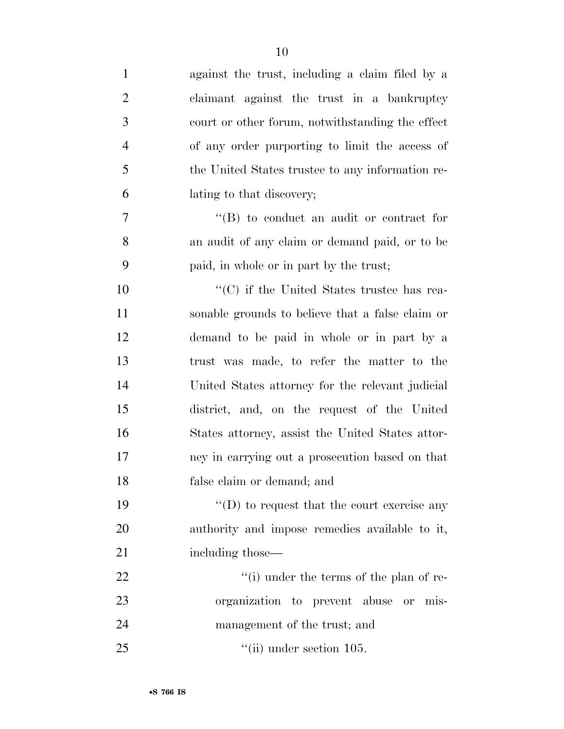| $\mathbf{1}$   | against the trust, including a claim filed by a   |
|----------------|---------------------------------------------------|
| $\overline{2}$ | claimant against the trust in a bankruptcy        |
| 3              | court or other forum, notwithstanding the effect  |
| $\overline{4}$ | of any order purporting to limit the access of    |
| 5              | the United States trustee to any information re-  |
| 6              | lating to that discovery;                         |
| 7              | $\lq\lq (B)$ to conduct an audit or contract for  |
| 8              | an audit of any claim or demand paid, or to be    |
| 9              | paid, in whole or in part by the trust;           |
| 10             | $\cdot$ (C) if the United States trustee has rea- |
| 11             | sonable grounds to believe that a false claim or  |
| 12             | demand to be paid in whole or in part by a        |
| 13             | trust was made, to refer the matter to the        |
| 14             | United States attorney for the relevant judicial  |
| 15             | district, and, on the request of the United       |
| 16             | States attorney, assist the United States attor-  |
| 17             | ney in carrying out a prosecution based on that   |
| 18             | false claim or demand; and                        |
| 19             | $\lq\lq$ to request that the court exercise any   |
| 20             | authority and impose remedies available to it,    |
| 21             | including those—                                  |
| 22             | "(i) under the terms of the plan of re-           |
| 23             | organization to prevent abuse or mis-             |
| 24             | management of the trust; and                      |
| 25             | $\lq$ <sup>"</sup> (ii) under section 105.        |